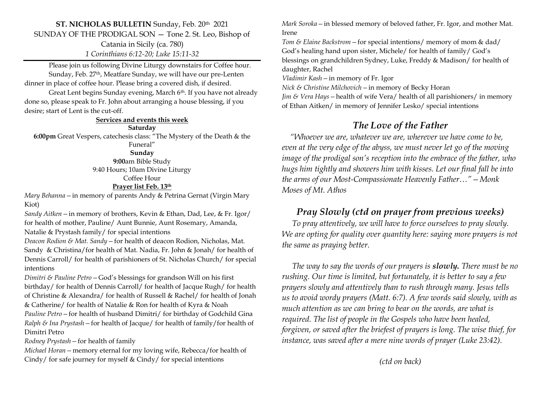#### **ST. NICHOLAS BULLETIN** Sunday, Feb. 20th 2021 SUNDAY OF THE PRODIGAL SON — Tone 2. St. Leo, Bishop of Catania in Sicily (ca. 780) *1 Corinthians 6:12-20; Luke 15:11-32*

Please join us following Divine Liturgy downstairs for Coffee hour. Sunday, Feb. 27<sup>th</sup>, Meatfare Sunday, we will have our pre-Lenten dinner in place of coffee hour. Please bring a covered dish, if desired.

Great Lent begins Sunday evening, March 6<sup>th</sup>. If you have not already done so, please speak to Fr. John about arranging a house blessing, if you desire; start of Lent is the cut-off.

**Services and events this week**

**Saturday 6:00pm** Great Vespers, catechesis class: "The Mystery of the Death & the Funeral"

> **Sunday 9:00**am Bible Study 9:40 Hours; 10am Divine Liturgy Coffee Hour **Prayer list Feb. 13th**

*Mary Behanna—*in memory of parents Andy & Petrina Gernat (Virgin Mary Kiot)

*Sandy Aitken—*in memory of brothers, Kevin & Ethan, Dad, Lee, & Fr. Igor/ for health of mother, Pauline/ Aunt Bunnie, Aunt Rosemary, Amanda,

Natalie & Prystash family/ for special intentions

*Deacon Rodion & Mat. Sandy—*for health of deacon Rodion, Nicholas, Mat. Sandy & Christina/for health of Mat. Nadia, Fr. John & Jonah/ for health of Dennis Carroll/ for health of parishioners of St. Nicholas Church/ for special intentions

*Dimitri & Pauline Petro—*God's blessings for grandson Will on his first birthday/ for health of Dennis Carroll/ for health of Jacque Rugh/ for health of Christine & Alexandra/ for health of Russell & Rachel/ for health of Jonah & Catherine/ for health of Natalie & Ron for health of Kyra & Noah *Pauline Petro—*for health of husband Dimitri/ for birthday of Godchild Gina *Ralph & Ina Prystash—*for health of Jacque/ for health of family/for health of Dimitri Petro

*Rodney Prystash—*for health of family

*Michael Horan—*memory eternal for my loving wife, Rebecca/for health of Cindy/ for safe journey for myself & Cindy/ for special intentions

*Mark Soroka—*in blessed memory of beloved father, Fr. Igor, and mother Mat. Irene

*Tom & Elaine Backstrom—*for special intentions/ memory of mom & dad/ God's healing hand upon sister, Michele/ for health of family/ God's blessings on grandchildren Sydney, Luke, Freddy & Madison/ for health of daughter, Rachel

*Vladimir Kash—*in memory of Fr. Igor

*Nick & Christine Milchovich—*in memory of Becky Horan

*Jim & Vera Hays—*health of wife Vera/ health of all parishioners/ in memory of Ethan Aitken/ in memory of Jennifer Lesko/ special intentions

## *The Love of the Father*

 *"Whoever we are, whatever we are, wherever we have come to be, even at the very edge of the abyss, we must never let go of the moving image of the prodigal son's reception into the embrace of the father, who hugs him tightly and showers him with kisses. Let our final fall be into the arms of our Most-Compassionate Heavenly Father…"—Monk Moses of Mt. Athos*

## *Pray Slowly (ctd on prayer from previous weeks)*

 *To pray attentively, we will have to force ourselves to pray slowly. We are opting for quality over quantity here: saying more prayers is not the same as praying better.* 

 *The way to say the words of our prayers is slowly. There must be no rushing. Our time is limited, but fortunately, it is better to say a few prayers slowly and attentively than to rush through many. Jesus tells us to avoid wordy prayers (Matt. 6:7). A few words said slowly, with as much attention as we can bring to bear on the words, are what is required. The list of people in the Gospels who have been healed, forgiven, or saved after the briefest of prayers is long. The wise thief, for instance, was saved after a mere nine words of prayer (Luke 23:42).* 

*(ctd on back)*